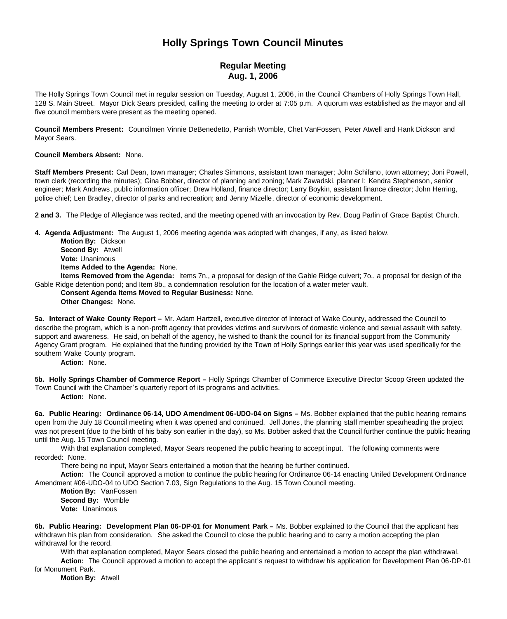# **Holly Springs Town Council Minutes**

# **Regular Meeting Aug. 1, 2006**

The Holly Springs Town Council met in regular session on Tuesday, August 1, 2006, in the Council Chambers of Holly Springs Town Hall, 128 S. Main Street. Mayor Dick Sears presided, calling the meeting to order at 7:05 p.m. A quorum was established as the mayor and all five council members were present as the meeting opened.

**Council Members Present:** Councilmen Vinnie DeBenedetto, Parrish Womble, Chet VanFossen, Peter Atwell and Hank Dickson and Mayor Sears.

**Council Members Absent:** None.

**Staff Members Present:** Carl Dean, town manager; Charles Simmons, assistant town manager; John Schifano, town attorney; Joni Powell, town clerk (recording the minutes); Gina Bobber, director of planning and zoning; Mark Zawadski, planner I; Kendra Stephenson, senior engineer; Mark Andrews, public information officer; Drew Holland, finance director; Larry Boykin, assistant finance director; John Herring, police chief; Len Bradley, director of parks and recreation; and Jenny Mizelle, director of economic development.

**2 and 3.** The Pledge of Allegiance was recited, and the meeting opened with an invocation by Rev. Doug Parlin of Grace Baptist Church.

**4. Agenda Adjustment:** The August 1, 2006 meeting agenda was adopted with changes, if any, as listed below.

**Motion By:** Dickson **Second By:** Atwell **Vote:** Unanimous **Items Added to the Agenda:** None.

**Items Removed from the Agenda:** Items 7n., a proposal for design of the Gable Ridge culvert; 7o., a proposal for design of the Gable Ridge detention pond; and Item 8b., a condemnation resolution for the location of a water meter vault.

## **Consent Agenda Items Moved to Regular Business:** None.

**Other Changes:** None.

**5a. Interact of Wake County Report –** Mr. Adam Hartzell, executive director of Interact of Wake County, addressed the Council to describe the program, which is a non-profit agency that provides victims and survivors of domestic violence and sexual assault with safety, support and awareness. He said, on behalf of the agency, he wished to thank the council for its financial support from the Community Agency Grant program. He explained that the funding provided by the Town of Holly Springs earlier this year was used specifically for the southern Wake County program.

**Action:** None.

**5b. Holly Springs Chamber of Commerce Report –** Holly Springs Chamber of Commerce Executive Director Scoop Green updated the Town Council with the Chamber's quarterly report of its programs and activities.

**Action:** None.

6a. Public Hearing: Ordinance 06-14, UDO Amendment 06-UDO-04 on Signs - Ms. Bobber explained that the public hearing remains open from the July 18 Council meeting when it was opened and continued. Jeff Jones, the planning staff member spearheading the project was not present (due to the birth of his baby son earlier in the day), so Ms. Bobber asked that the Council further continue the public hearing until the Aug. 15 Town Council meeting.

With that explanation completed, Mayor Sears reopened the public hearing to accept input. The following comments were recorded: None.

There being no input, Mayor Sears entertained a motion that the hearing be further continued.

**Action:** The Council approved a motion to continue the public hearing for Ordinance 06-14 enacting Unifed Development Ordinance Amendment #06-UDO-04 to UDO Section 7.03, Sign Regulations to the Aug. 15 Town Council meeting.

**Motion By:** VanFossen **Second By:** Womble **Vote:** Unanimous

**6b. Public Hearing: Development Plan 06-DP-01 for Monument Park –** Ms. Bobber explained to the Council that the applicant has withdrawn his plan from consideration. She asked the Council to close the public hearing and to carry a motion accepting the plan withdrawal for the record.

With that explanation completed, Mayor Sears closed the public hearing and entertained a motion to accept the plan withdrawal. **Action:** The Council approved a motion to accept the applicant's request to withdraw his application for Development Plan 06-DP-01 for Monument Park.

**Motion By:** Atwell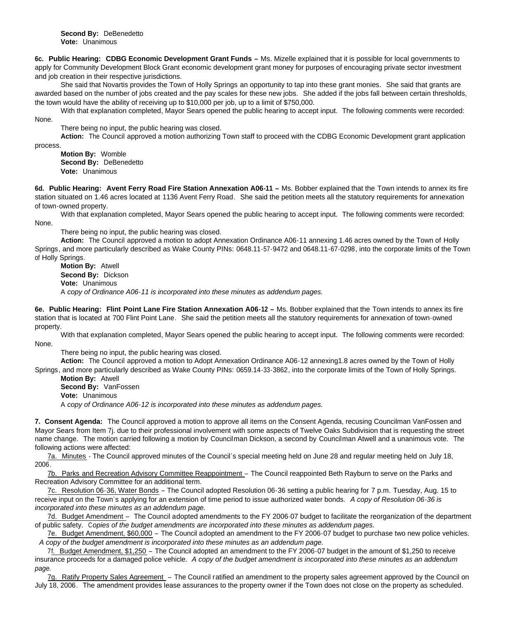**6c. Public Hearing: CDBG Economic Development Grant Funds –** Ms. Mizelle explained that it is possible for local governments to apply for Community Development Block Grant economic development grant money for purposes of encouraging private sector investment and job creation in their respective jurisdictions.

She said that Novartis provides the Town of Holly Springs an opportunity to tap into these grant monies. She said that grants are awarded based on the number of jobs created and the pay scales for these new jobs. She added if the jobs fall between certain thresholds, the town would have the ability of receiving up to \$10,000 per job, up to a limit of \$750,000.

With that explanation completed, Mayor Sears opened the public hearing to accept input. The following comments were recorded: None.

There being no input, the public hearing was closed.

**Action:** The Council approved a motion authorizing Town staff to proceed with the CDBG Economic Development grant application

process.

**Motion By:** Womble **Second By:** DeBenedetto **Vote:** Unanimous

**6d. Public Hearing: Avent Ferry Road Fire Station Annexation A06-11 –** Ms. Bobber explained that the Town intends to annex its fire station situated on 1.46 acres located at 1136 Avent Ferry Road. She said the petition meets all the statutory requirements for annexation of town-owned property.

With that explanation completed, Mayor Sears opened the public hearing to accept input. The following comments were recorded: None.

There being no input, the public hearing was closed.

**Action:** The Council approved a motion to adopt Annexation Ordinance A06-11 annexing 1.46 acres owned by the Town of Holly Springs, and more particularly described as Wake County PINs: 0648.11-57-9472 and 0648.11-67-0298, into the corporate limits of the Town of Holly Springs.

**Motion By:** Atwell **Second By:** Dickson **Vote:** Unanimous A *copy of Ordinance A06-11 is incorporated into these minutes as addendum pages.*

**6e. Public Hearing: Flint Point Lane Fire Station Annexation A06-12 –** Ms. Bobber explained that the Town intends to annex its fire station that is located at 700 Flint Point Lane. She said the petition meets all the statutory requirements for annexation of town-owned property.

With that explanation completed, Mayor Sears opened the public hearing to accept input. The following comments were recorded: None.

There being no input, the public hearing was closed.

**Action:** The Council approved a motion to Adopt Annexation Ordinance A06-12 annexing1.8 acres owned by the Town of Holly Springs, and more particularly described as Wake County PINs: 0659.14-33-3862, into the corporate limits of the Town of Holly Springs.

**Motion By:** Atwell **Second By:** VanFossen **Vote:** Unanimous A *copy of Ordinance A06-12 is incorporated into these minutes as addendum pages.*

**7. Consent Agenda:** The Council approved a motion to approve all items on the Consent Agenda, recusing Councilman VanFossen and Mayor Sears from Item 7j. due to their professional involvement with some aspects of Twelve Oaks Subdivision that is requesting the street name change. The motion carried following a motion by Councilman Dickson, a second by Councilman Atwell and a unanimous vote. The following actions were affected:

7a. Minutes - The Council approved minutes of the Council's special meeting held on June 28 and regular meeting held on July 18, 2006.

7b. Parks and Recreation Advisory Committee Reappointment – The Council reappointed Beth Rayburn to serve on the Parks and Recreation Advisory Committee for an additional term.

7c. Resolution 06-36, Water Bonds – The Council adopted Resolution 06-36 setting a public hearing for 7 p.m. Tuesday, Aug. 15 to receive input on the Town's applying for an extension of time period to issue authorized water bonds. *A copy of Resolution 06-36 is incorporated into these minutes as an addendum page.*

7d. Budget Amendment – The Council adopted amendments to the FY 2006-07 budget to facilitate the reorganization of the department of public safety. C*opies of the budget amendments are incorporated into these minutes as addendum pages.*

7e. Budget Amendment, \$60,000 – The Council adopted an amendment to the FY 2006-07 budget to purchase two new police vehicles. *A copy of the budget amendment is incorporated into these minutes as an addendum page.*

7f. Budget Amendment, \$1,250 – The Council adopted an amendment to the FY 2006-07 budget in the amount of \$1,250 to receive insurance proceeds for a damaged police vehicle. *A copy of the budget amendment is incorporated into these minutes as an addendum page.*

7g. Ratify Property Sales Agreement – The Council ratified an amendment to the property sales agreement approved by the Council on July 18, 2006. The amendment provides lease assurances to the property owner if the Town does not close on the property as scheduled.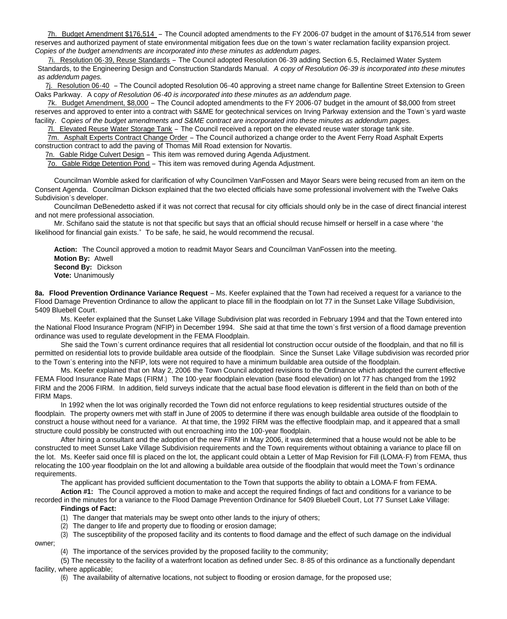7h. Budget Amendment \$176,514 – The Council adopted amendments to the FY 2006-07 budget in the amount of \$176,514 from sewer reserves and authorized payment of state environmental mitigation fees due on the town's water reclamation facility expansion project. *Copies of the budget amendments are incorporated into these minutes as addendum pages.*

7i. Resolution 06-39, Reuse Standards – The Council adopted Resolution 06-39 adding Section 6.5, Reclaimed Water System Standards, to the Engineering Design and Construction Standards Manual. *A copy of Resolution 06-39 is incorporated into these minutes as addendum pages.*

7j. Resolution 06-40 – The Council adopted Resolution 06-40 approving a street name change for Ballentine Street Extension to Green Oaks Parkway. A c*opy of Resolution 06-40 is incorporated into these minutes as an addendum page.*

7k. Budget Amendment, \$8,000 – The Council adopted amendments to the FY 2006-07 budget in the amount of \$8,000 from street reserves and approved to enter into a contract with S&ME for geotechnical services on Irving Parkway extension and the Town's yard waste facility. C*opies of the budget amendments and S&ME contract are incorporated into these minutes as addendum pages.*

7l. Elevated Reuse Water Storage Tank – The Council received a report on the elevated reuse water storage tank site.

7m. Asphalt Experts Contract Change Order – The Council authorized a change order to the Avent Ferry Road Asphalt Experts construction contract to add the paving of Thomas Mill Road extension for Novartis.

7n. Gable Ridge Culvert Design – This item was removed during Agenda Adjustment.

7o. Gable Ridge Detention Pond – This item was removed during Agenda Adjustment.

Councilman Womble asked for clarification of why Councilmen VanFossen and Mayor Sears were being recused from an item on the Consent Agenda. Councilman Dickson explained that the two elected officials have some professional involvement with the Twelve Oaks Subdivision's developer.

Councilman DeBenedetto asked if it was not correct that recusal for city officials should only be in the case of direct financial interest and not mere professional association.

Mr. Schifano said the statute is not that specific but says that an official should recuse himself or herself in a case where "the likelihood for financial gain exists." To be safe, he said, he would recommend the recusal.

**Action:** The Council approved a motion to readmit Mayor Sears and Councilman VanFossen into the meeting. **Motion By:** Atwell **Second By:** Dickson **Vote:** Unanimously

**8a. Flood Prevention Ordinance Variance Request** – Ms. Keefer explained that the Town had received a request for a variance to the Flood Damage Prevention Ordinance to allow the applicant to place fill in the floodplain on lot 77 in the Sunset Lake Village Subdivision, 5409 Bluebell Court.

Ms. Keefer explained that the Sunset Lake Village Subdivision plat was recorded in February 1994 and that the Town entered into the National Flood Insurance Program (NFIP) in December 1994. She said at that time the town's first version of a flood damage prevention ordinance was used to regulate development in the FEMA Floodplain.

She said the Town's current ordinance requires that all residential lot construction occur outside of the floodplain, and that no fill is permitted on residential lots to provide buildable area outside of the floodplain. Since the Sunset Lake Village subdivision was recorded prior to the Town's entering into the NFIP, lots were not required to have a minimum buildable area outside of the floodplain.

Ms. Keefer explained that on May 2, 2006 the Town Council adopted revisions to the Ordinance which adopted the current effective FEMA Flood Insurance Rate Maps (FIRM.) The 100-year floodplain elevation (base flood elevation) on lot 77 has changed from the 1992 FIRM and the 2006 FIRM. In addition, field surveys indicate that the actual base flood elevation is different in the field than on both of the FIRM Maps.

In 1992 when the lot was originally recorded the Town did not enforce regulations to keep residential structures outside of the floodplain. The property owners met with staff in June of 2005 to determine if there was enough buildable area outside of the floodplain to construct a house without need for a variance. At that time, the 1992 FIRM was the effective floodplain map, and it appeared that a small structure could possibly be constructed with out encroaching into the 100-year floodplain.

After hiring a consultant and the adoption of the new FIRM in May 2006, it was determined that a house would not be able to be constructed to meet Sunset Lake Village Subdivision requirements and the Town requirements without obtaining a variance to place fill on the lot. Ms. Keefer said once fill is placed on the lot, the applicant could obtain a Letter of Map Revision for Fill (LOMA-F) from FEMA, thus relocating the 100-year floodplain on the lot and allowing a buildable area outside of the floodplain that would meet the Town's ordinance requirements.

The applicant has provided sufficient documentation to the Town that supports the ability to obtain a LOMA-F from FEMA.

**Action #1:** The Council approved a motion to make and accept the required findings of fact and conditions for a variance to be recorded in the minutes for a variance to the Flood Damage Prevention Ordinance for 5409 Bluebell Court, Lot 77 Sunset Lake Village:

# **Findings of Fact:**

owner;

- (1) The danger that materials may be swept onto other lands to the injury of others;
- (2) The danger to life and property due to flooding or erosion damage;

(3) The susceptibility of the proposed facility and its contents to flood damage and the effect of such damage on the individual

(4) The importance of the services provided by the proposed facility to the community;

(5) The necessity to the facility of a waterfront location as defined under Sec. 8-85 of this ordinance as a functionally dependant facility, where applicable;

(6) The availability of alternative locations, not subject to flooding or erosion damage, for the proposed use;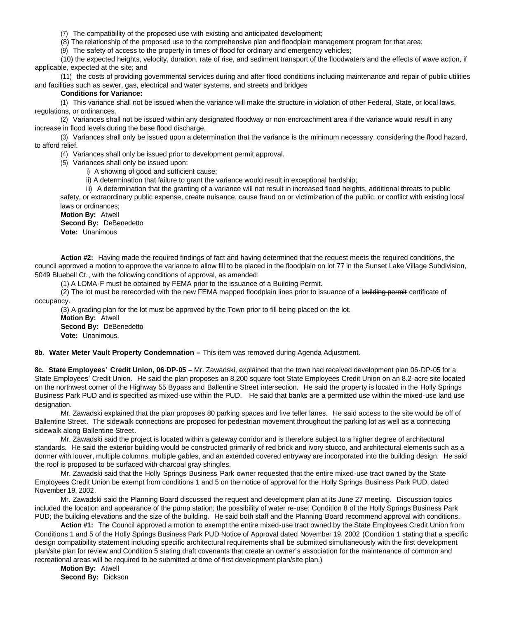(7) The compatibility of the proposed use with existing and anticipated development;

(8) The relationship of the proposed use to the comprehensive plan and floodplain management program for that area;

(9) The safety of access to the property in times of flood for ordinary and emergency vehicles;

(10) the expected heights, velocity, duration, rate of rise, and sediment transport of the floodwaters and the effects of wave action, if applicable, expected at the site; and

(11) the costs of providing governmental services during and after flood conditions including maintenance and repair of public utilities and facilities such as sewer, gas, electrical and water systems, and streets and bridges

## **Conditions for Variance:**

(1) This variance shall not be issued when the variance will make the structure in violation of other Federal, State, or local laws, regulations, or ordinances.

(2) Variances shall not be issued within any designated floodway or non-encroachment area if the variance would result in any increase in flood levels during the base flood discharge.

(3) Variances shall only be issued upon a determination that the variance is the minimum necessary, considering the flood hazard, to afford relief.

(4) Variances shall only be issued prior to development permit approval.

(5) Variances shall only be issued upon:

i) A showing of good and sufficient cause;

ii) A determination that failure to grant the variance would result in exceptional hardship;

iii) A determination that the granting of a variance will not result in increased flood heights, additional threats to public safety, or extraordinary public expense, create nuisance, cause fraud on or victimization of the public, or conflict with existing local laws or ordinances;

**Motion By:** Atwell **Second By:** DeBenedetto **Vote:** Unanimous

**Action #2:** Having made the required findings of fact and having determined that the request meets the required conditions, the council approved a motion to approve the variance to allow fill to be placed in the floodplain on lot 77 in the Sunset Lake Village Subdivision, 5049 Bluebell Ct., with the following conditions of approval, as amended:

(1) A LOMA-F must be obtained by FEMA prior to the issuance of a Building Permit.

(2) The lot must be rerecorded with the new FEMA mapped floodplain lines prior to issuance of a building permit certificate of occupancy.

(3) A grading plan for the lot must be approved by the Town prior to fill being placed on the lot. **Motion By:** Atwell **Second By:** DeBenedetto **Vote:** Unanimous.

8b. Water Meter Vault Property Condemnation - This item was removed during Agenda Adjustment.

**8c. State Employees' Credit Union, 06-DP-05** – Mr. Zawadski, explained that the town had received development plan 06-DP-05 for a State Employees' Credit Union. He said the plan proposes an 8,200 square foot State Employees Credit Union on an 8.2-acre site located on the northwest corner of the Highway 55 Bypass and Ballentine Street intersection. He said the property is located in the Holly Springs Business Park PUD and is specified as mixed-use within the PUD. He said that banks are a permitted use within the mixed-use land use designation.

Mr. Zawadski explained that the plan proposes 80 parking spaces and five teller lanes. He said access to the site would be off of Ballentine Street. The sidewalk connections are proposed for pedestrian movement throughout the parking lot as well as a connecting sidewalk along Ballentine Street.

Mr. Zawadski said the project is located within a gateway corridor and is therefore subject to a higher degree of architectural standards. He said the exterior building would be constructed primarily of red brick and ivory stucco, and architectural elements such as a dormer with louver, multiple columns, multiple gables, and an extended covered entryway are incorporated into the building design. He said the roof is proposed to be surfaced with charcoal gray shingles.

Mr. Zawadski said that the Holly Springs Business Park owner requested that the entire mixed-use tract owned by the State Employees Credit Union be exempt from conditions 1 and 5 on the notice of approval for the Holly Springs Business Park PUD, dated November 19, 2002.

Mr. Zawadski said the Planning Board discussed the request and development plan at its June 27 meeting. Discussion topics included the location and appearance of the pump station; the possibility of water re-use; Condition 8 of the Holly Springs Business Park PUD; the building elevations and the size of the building. He said both staff and the Planning Board recommend approval with conditions.

**Action #1:** The Council approved a motion to exempt the entire mixed-use tract owned by the State Employees Credit Union from Conditions 1 and 5 of the Holly Springs Business Park PUD Notice of Approval dated November 19, 2002 (Condition 1 stating that a specific design compatibility statement including specific architectural requirements shall be submitted simultaneously with the first development plan/site plan for review and Condition 5 stating draft covenants that create an owner's association for the maintenance of common and recreational areas will be required to be submitted at time of first development plan/site plan.)

**Motion By:** Atwell **Second By:** Dickson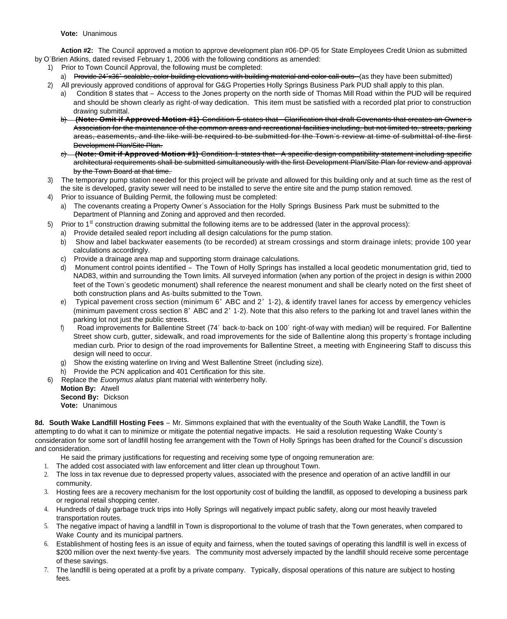**Vote:** Unanimous

**Action #2:** The Council approved a motion to approve development plan #06-DP-05 for State Employees Credit Union as submitted by O'Brien Atkins, dated revised February 1, 2006 with the following conditions as amended:

- 1) Prior to Town Council Approval, the following must be completed:
	- a) Provide 24"x36" scalable, color building elevations with building material and color call-outs (as they have been submitted)
- 2) All previously approved conditions of approval for G&G Properties Holly Springs Business Park PUD shall apply to this plan.
	- a) Condition 8 states that Access to the Jones property on the north side of Thomas Mill Road within the PUD will be required and should be shown clearly as right-of-way dedication. This item must be satisfied with a recorded plat prior to construction drawing submittal.
	- b) **(Note: Omit if Approved Motion #1)** Condition 5 states that- Clarification that draft Covenants that creates an Owner's Association for the maintenance of the common areas and recreational facilities including, but not limited to, streets, parking areas, easements, and the like will be required to be submitted for the Town's review at time of submittal of the first Development Plan/Site Plan.
	- c) **(Note: Omit if Approved Motion #1)** Condition 1 states that- A specific design compatibility statement including specific architectural requirements shall be submitted simultaneously with the first Development Plan/Site Plan for review and approval by the Town Board at that time.
- 3) The temporary pump station needed for this project will be private and allowed for this building only and at such time as the rest of the site is developed, gravity sewer will need to be installed to serve the entire site and the pump station removed.
- 4) Prior to issuance of Building Permit, the following must be completed:
	- a) The covenants creating a Property Owner's Association for the Holly Springs Business Park must be submitted to the Department of Planning and Zoning and approved and then recorded.
- 5) Prior to 1<sup>st</sup> construction drawing submittal the following items are to be addressed (later in the approval process):
	- a) Provide detailed sealed report including all design calculations for the pump station.
	- b) Show and label backwater easements (to be recorded) at stream crossings and storm drainage inlets; provide 100 year calculations accordingly.
	- c) Provide a drainage area map and supporting storm drainage calculations.
	- d) Monument control points identified The Town of Holly Springs has installed a local geodetic monumentation grid, tied to NAD83, within and surrounding the Town limits. All surveyed information (when any portion of the project in design is within 2000 feet of the Town's geodetic monument) shall reference the nearest monument and shall be clearly noted on the first sheet of both construction plans and As-builts submitted to the Town.
	- e) Typical pavement cross section (minimum 6" ABC and 2" 1-2), & identify travel lanes for access by emergency vehicles (minimum pavement cross section 8" ABC and 2" 1-2). Note that this also refers to the parking lot and travel lanes within the parking lot not just the public streets.
	- f) Road improvements for Ballentine Street (74' back-to-back on 100' right-of-way with median) will be required. For Ballentine Street show curb, gutter, sidewalk, and road improvements for the side of Ballentine along this property's frontage including median curb. Prior to design of the road improvements for Ballentine Street, a meeting with Engineering Staff to discuss this design will need to occur.
	- g) Show the existing waterline on Irving and West Ballentine Street (including size).
	- h) Provide the PCN application and 401 Certification for this site.
- 6) Replace the *Euonymus alatus* plant material with winterberry holly.

**Motion By:** Atwell **Second By:** Dickson **Vote:** Unanimous

**8d. South Wake Landfill Hosting Fees** – Mr. Simmons explained that with the eventuality of the South Wake Landfill, the Town is attempting to do what it can to minimize or mitigate the potential negative impacts. He said a resolution requesting Wake County's consideration for some sort of landfill hosting fee arrangement with the Town of Holly Springs has been drafted for the Council's discussion and consideration.

He said the primary justifications for requesting and receiving some type of ongoing remuneration are:

- 1. The added cost associated with law enforcement and litter clean up throughout Town.
- 2. The loss in tax revenue due to depressed property values, associated with the presence and operation of an active landfill in our community.
- 3. Hosting fees are a recovery mechanism for the lost opportunity cost of building the landfill, as opposed to developing a business park or regional retail shopping center.
- 4. Hundreds of daily garbage truck trips into Holly Springs will negatively impact public safety, along our most heavily traveled transportation routes.
- 5. The negative impact of having a landfill in Town is disproportional to the volume of trash that the Town generates, when compared to Wake County and its municipal partners.
- 6. Establishment of hosting fees is an issue of equity and fairness, when the touted savings of operating this landfill is well in excess of \$200 million over the next twenty-five years. The community most adversely impacted by the landfill should receive some percentage of these savings.
- 7. The landfill is being operated at a profit by a private company. Typically, disposal operations of this nature are subject to hosting fees.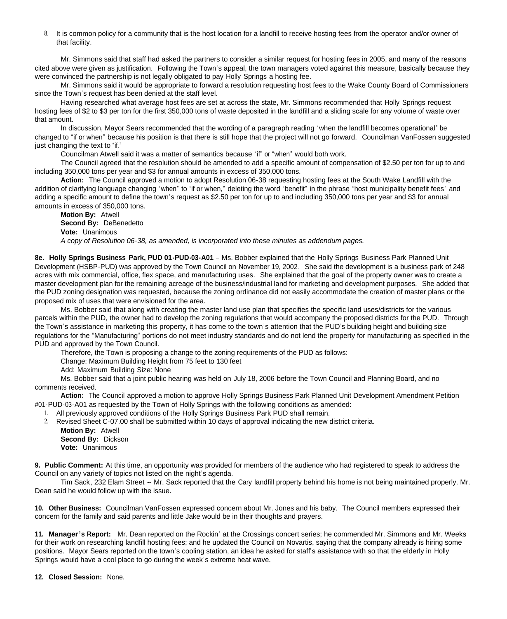8. It is common policy for a community that is the host location for a landfill to receive hosting fees from the operator and/or owner of that facility.

Mr. Simmons said that staff had asked the partners to consider a similar request for hosting fees in 2005, and many of the reasons cited above were given as justification. Following the Town's appeal, the town managers voted against this measure, basically because they were convinced the partnership is not legally obligated to pay Holly Springs a hosting fee.

Mr. Simmons said it would be appropriate to forward a resolution requesting host fees to the Wake County Board of Commissioners since the Town's request has been denied at the staff level.

Having researched what average host fees are set at across the state, Mr. Simmons recommended that Holly Springs request hosting fees of \$2 to \$3 per ton for the first 350,000 tons of waste deposited in the landfill and a sliding scale for any volume of waste over that amount.

In discussion, Mayor Sears recommended that the wording of a paragraph reading "when the landfill becomes operational" be changed to "if or when" because his position is that there is still hope that the project will not go forward. Councilman VanFossen suggested just changing the text to "if."

Councilman Atwell said it was a matter of semantics because "if" or "when" would both work.

The Council agreed that the resolution should be amended to add a specific amount of compensation of \$2.50 per ton for up to and including 350,000 tons per year and \$3 for annual amounts in excess of 350,000 tons.

**Action:** The Council approved a motion to adopt Resolution 06-38 requesting hosting fees at the South Wake Landfill with the addition of clarifying language changing "when" to "if or when," deleting the word "benefit" in the phrase "host municipality benefit fees" and adding a specific amount to define the town's request as \$2.50 per ton for up to and including 350,000 tons per year and \$3 for annual amounts in excess of 350,000 tons.

#### **Motion By:** Atwell **Second By:** DeBenedetto **Vote:** Unanimous *A copy of Resolution 06-38, as amended, is incorporated into these minutes as addendum pages.*

**8e. Holly Springs Business Park, PUD 01-PUD-03-A01** – Ms. Bobber explained that the Holly Springs Business Park Planned Unit Development (HSBP-PUD) was approved by the Town Council on November 19, 2002. She said the development is a business park of 248 acres with mix commercial, office, flex space, and manufacturing uses. She explained that the goal of the property owner was to create a master development plan for the remaining acreage of the business/industrial land for marketing and development purposes. She added that the PUD zoning designation was requested, because the zoning ordinance did not easily accommodate the creation of master plans or the proposed mix of uses that were envisioned for the area.

Ms. Bobber said that along with creating the master land use plan that specifies the specific land uses/districts for the various parcels within the PUD, the owner had to develop the zoning regulations that would accompany the proposed districts for the PUD. Through the Town's assistance in marketing this property, it has come to the town's attention that the PUD's building height and building size regulations for the "Manufacturing" portions do not meet industry standards and do not lend the property for manufacturing as specified in the PUD and approved by the Town Council.

Therefore, the Town is proposing a change to the zoning requirements of the PUD as follows:

Change: Maximum Building Height from 75 feet to 130 feet

Add: Maximum Building Size: None

Ms. Bobber said that a joint public hearing was held on July 18, 2006 before the Town Council and Planning Board, and no comments received.

**Action:** The Council approved a motion to approve Holly Springs Business Park Planned Unit Development Amendment Petition #01-PUD-03-A01 as requested by the Town of Holly Springs with the following conditions as amended:

- 1. All previously approved conditions of the Holly Springs Business Park PUD shall remain.<br>2. Revised Sheet G-07.00 shall be submitted within 10 days of approval indicating the new of
- 2. Revised Sheet C-07.00 shall be submitted within 10 days of approval indicating the new district criteria.

**Motion By:** Atwell **Second By:** Dickson **Vote:** Unanimous

**9. Public Comment:** At this time, an opportunity was provided for members of the audience who had registered to speak to address the Council on any variety of topics not listed on the night's agenda.

Tim Sack, 232 Elam Street -- Mr. Sack reported that the Cary landfill property behind his home is not being maintained properly. Mr. Dean said he would follow up with the issue.

**10. Other Business:** Councilman VanFossen expressed concern about Mr. Jones and his baby. The Council members expressed their concern for the family and said parents and little Jake would be in their thoughts and prayers.

**11. Manager's Report:** Mr. Dean reported on the Rockin' at the Crossings concert series; he commended Mr. Simmons and Mr. Weeks for their work on researching landfill hosting fees; and he updated the Council on Novartis, saying that the company already is hiring some positions. Mayor Sears reported on the town's cooling station, an idea he asked for staff's assistance with so that the elderly in Holly Springs would have a cool place to go during the week's extreme heat wave.

**12. Closed Session:** None.